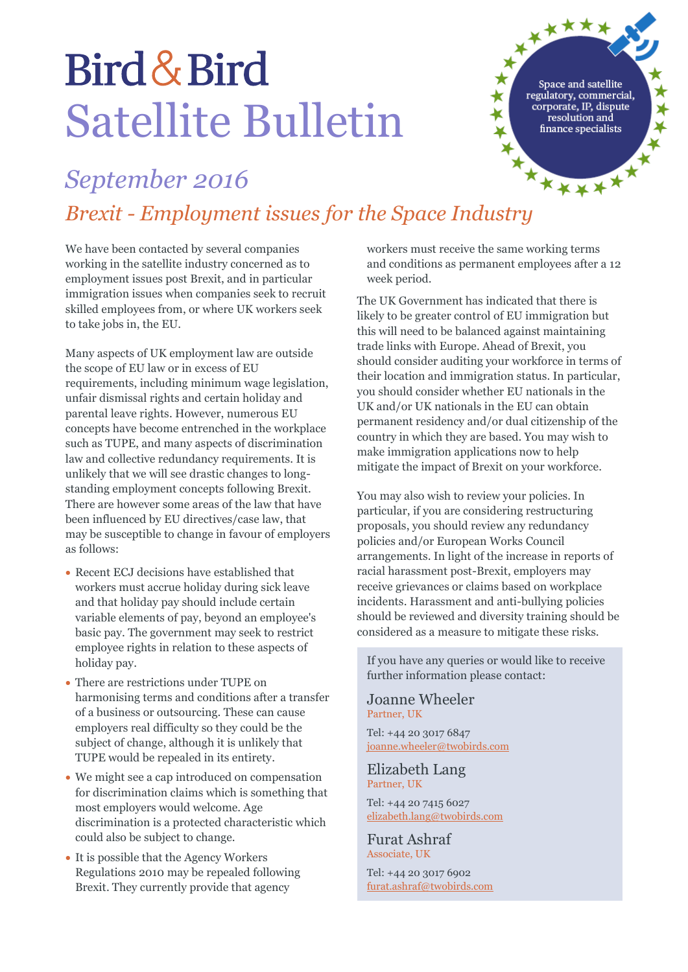## Bird & Bird Satellite Bulletin

Space and satellite regulatory, commercial, corporate, IP, dispute resolution and finance specialists

xxxxx

### *September 2016*

# *Brexit - Employment issues for the Space Industry*

We have been contacted by several companies working in the satellite industry concerned as to employment issues post Brexit, and in particular immigration issues when companies seek to recruit skilled employees from, or where UK workers seek to take jobs in, the EU.

Many aspects of UK employment law are outside the scope of EU law or in excess of EU requirements, including minimum wage legislation, unfair dismissal rights and certain holiday and parental leave rights. However, numerous EU concepts have become entrenched in the workplace such as TUPE, and many aspects of discrimination law and collective redundancy requirements. It is unlikely that we will see drastic changes to longstanding employment concepts following Brexit. There are however some areas of the law that have been influenced by EU directives/case law, that may be susceptible to change in favour of employers as follows:

- Recent ECJ decisions have established that workers must accrue holiday during sick leave and that holiday pay should include certain variable elements of pay, beyond an employee's basic pay. The government may seek to restrict employee rights in relation to these aspects of holiday pay.
- There are restrictions under TUPE on harmonising terms and conditions after a transfer of a business or outsourcing. These can cause employers real difficulty so they could be the subject of change, although it is unlikely that TUPE would be repealed in its entirety.
- We might see a cap introduced on compensation for discrimination claims which is something that most employers would welcome. Age discrimination is a protected characteristic which could also be subject to change.
- It is possible that the Agency Workers Regulations 2010 may be repealed following Brexit. They currently provide that agency

workers must receive the same working terms and conditions as permanent employees after a 12 week period.

 $\vec{x}$ 

The UK Government has indicated that there is likely to be greater control of EU immigration but this will need to be balanced against maintaining trade links with Europe. Ahead of Brexit, you should consider auditing your workforce in terms of their location and immigration status. In particular, you should consider whether EU nationals in the UK and/or UK nationals in the EU can obtain permanent residency and/or dual citizenship of the country in which they are based. You may wish to make immigration applications now to help mitigate the impact of Brexit on your workforce.

You may also wish to review your policies. In particular, if you are considering restructuring proposals, you should review any redundancy policies and/or European Works Council arrangements. In light of the increase in reports of racial harassment post-Brexit, employers may receive grievances or claims based on workplace incidents. Harassment and anti-bullying policies should be reviewed and diversity training should be considered as a measure to mitigate these risks.

If you have any queries or would like to receive further information please contact:

#### Joanne Wheeler Partner, UK

Tel: +44 20 3017 6847 [joanne.wheeler@twobirds.com](mailto:joanne.wheeler@twobirds.com)

#### Elizabeth Lang Partner, UK

Tel: +44 20 7415 6027 [elizabeth.lang@twobirds.com](mailto:elizabeth.lang@twobirds.com)

Furat Ashraf Associate, UK

Tel: +44 20 3017 6902 [furat.ashraf@twobirds.com](mailto:elizabeth.lang@twobirds.com)